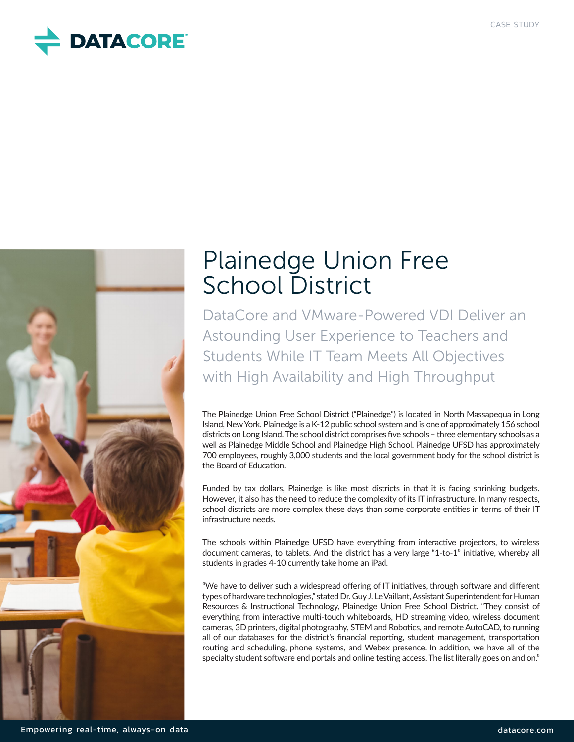



# Plainedge Union Free School District

DataCore and VMware-Powered VDI Deliver an Astounding User Experience to Teachers and Students While IT Team Meets All Objectives with High Availability and High Throughput

The Plainedge Union Free School District ("Plainedge") is located in North Massapequa in Long Island, New York. Plainedge is a K-12 public school system and is one of approximately 156 school districts on Long Island. The school district comprises five schools – three elementary schools as a well as Plainedge Middle School and Plainedge High School. Plainedge UFSD has approximately 700 employees, roughly 3,000 students and the local government body for the school district is the Board of Education.

Funded by tax dollars, Plainedge is like most districts in that it is facing shrinking budgets. However, it also has the need to reduce the complexity of its IT infrastructure. In many respects, school districts are more complex these days than some corporate entities in terms of their IT infrastructure needs.

The schools within Plainedge UFSD have everything from interactive projectors, to wireless document cameras, to tablets. And the district has a very large "1-to-1" initiative, whereby all students in grades 4-10 currently take home an iPad.

"We have to deliver such a widespread offering of IT initiatives, through software and different types of hardware technologies," stated Dr. Guy J. Le Vaillant, Assistant Superintendent for Human Resources & Instructional Technology, Plainedge Union Free School District. "They consist of everything from interactive multi-touch whiteboards, HD streaming video, wireless document cameras, 3D printers, digital photography, STEM and Robotics, and remote AutoCAD, to running all of our databases for the district's financial reporting, student management, transportation routing and scheduling, phone systems, and Webex presence. In addition, we have all of the specialty student software end portals and online testing access. The list literally goes on and on."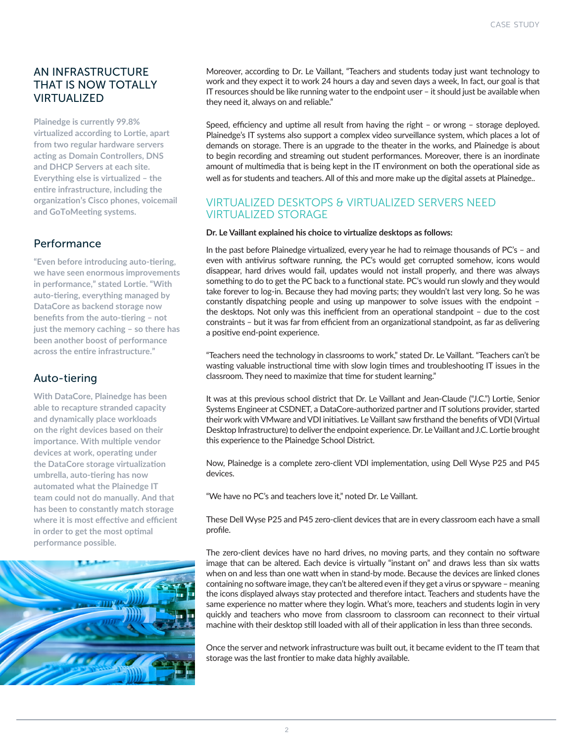## AN INFRASTRUCTURE THAT IS NOW TOTALLY VIRTUALIZED

**Plainedge is currently 99.8% virtualized according to Lortie, apart from two regular hardware servers acting as Domain Controllers, DNS and DHCP Servers at each site. Everything else is virtualized – the entire infrastructure, including the organization's Cisco phones, voicemail and GoToMeeting systems.**

#### Performance

**"Even before introducing auto-tiering, we have seen enormous improvements in performance," stated Lortie. "With auto-tiering, everything managed by DataCore as backend storage now benefits from the auto-tiering – not just the memory caching – so there has been another boost of performance across the entire infrastructure."**

## Auto-tiering

**With DataCore, Plainedge has been able to recapture stranded capacity and dynamically place workloads on the right devices based on their importance. With multiple vendor devices at work, operating under the DataCore storage virtualization umbrella, auto-tiering has now automated what the Plainedge IT team could not do manually. And that has been to constantly match storage where it is most effective and efficient in order to get the most optimal performance possible.**



Moreover, according to Dr. Le Vaillant, "Teachers and students today just want technology to work and they expect it to work 24 hours a day and seven days a week, In fact, our goal is that IT resources should be like running water to the endpoint user – it should just be available when they need it, always on and reliable."

Speed, efficiency and uptime all result from having the right – or wrong – storage deployed. Plainedge's IT systems also support a complex video surveillance system, which places a lot of demands on storage. There is an upgrade to the theater in the works, and Plainedge is about to begin recording and streaming out student performances. Moreover, there is an inordinate amount of multimedia that is being kept in the IT environment on both the operational side as well as for students and teachers. All of this and more make up the digital assets at Plainedge..

#### VIRTUALIZED DESKTOPS & VIRTUALIZED SERVERS NEED VIRTUALIZED STORAGE

#### **Dr. Le Vaillant explained his choice to virtualize desktops as follows:**

In the past before Plainedge virtualized, every year he had to reimage thousands of PC's – and even with antivirus software running, the PC's would get corrupted somehow, icons would disappear, hard drives would fail, updates would not install properly, and there was always something to do to get the PC back to a functional state. PC's would run slowly and they would take forever to log-in. Because they had moving parts; they wouldn't last very long. So he was constantly dispatching people and using up manpower to solve issues with the endpoint – the desktops. Not only was this inefficient from an operational standpoint – due to the cost constraints – but it was far from efficient from an organizational standpoint, as far as delivering a positive end-point experience.

"Teachers need the technology in classrooms to work," stated Dr. Le Vaillant. "Teachers can't be wasting valuable instructional time with slow login times and troubleshooting IT issues in the classroom. They need to maximize that time for student learning."

It was at this previous school district that Dr. Le Vaillant and Jean-Claude ("J.C.") Lortie, Senior Systems Engineer at CSDNET, a DataCore-authorized partner and IT solutions provider, started their work with VMware and VDI initiatives. Le Vaillant saw firsthand the benefits of VDI (Virtual Desktop Infrastructure) to deliver the endpoint experience. Dr. Le Vaillant and J.C. Lortie brought this experience to the Plainedge School District.

Now, Plainedge is a complete zero-client VDI implementation, using Dell Wyse P25 and P45 devices.

"We have no PC's and teachers love it," noted Dr. Le Vaillant.

These Dell Wyse P25 and P45 zero-client devices that are in every classroom each have a small profile.

The zero-client devices have no hard drives, no moving parts, and they contain no software image that can be altered. Each device is virtually "instant on" and draws less than six watts when on and less than one watt when in stand-by mode. Because the devices are linked clones containing no software image, they can't be altered even if they get a virus or spyware – meaning the icons displayed always stay protected and therefore intact. Teachers and students have the same experience no matter where they login. What's more, teachers and students login in very quickly and teachers who move from classroom to classroom can reconnect to their virtual machine with their desktop still loaded with all of their application in less than three seconds.

Once the server and network infrastructure was built out, it became evident to the IT team that storage was the last frontier to make data highly available.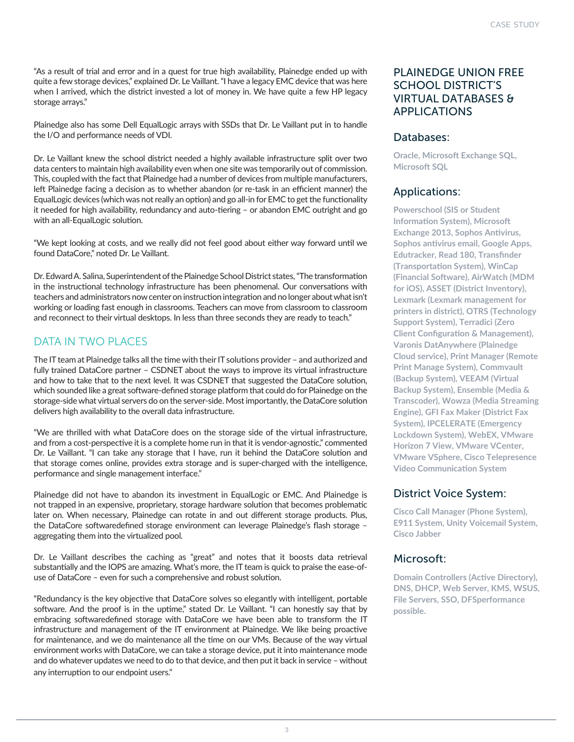"As a result of trial and error and in a quest for true high availability, Plainedge ended up with quite a few storage devices," explained Dr. Le Vaillant. "I have a legacy EMC device that was here when I arrived, which the district invested a lot of money in. We have quite a few HP legacy storage arrays."

Plainedge also has some Dell EqualLogic arrays with SSDs that Dr. Le Vaillant put in to handle the I/O and performance needs of VDI.

Dr. Le Vaillant knew the school district needed a highly available infrastructure split over two data centers to maintain high availability even when one site was temporarily out of commission. This, coupled with the fact that Plainedge had a number of devices from multiple manufacturers, left Plainedge facing a decision as to whether abandon (or re-task in an efficient manner) the EqualLogic devices (which was not really an option) and go all-in for EMC to get the functionality it needed for high availability, redundancy and auto-tiering – or abandon EMC outright and go with an all-EqualLogic solution.

"We kept looking at costs, and we really did not feel good about either way forward until we found DataCore," noted Dr. Le Vaillant.

Dr. Edward A. Salina, Superintendent of the Plainedge School District states, "The transformation in the instructional technology infrastructure has been phenomenal. Our conversations with teachers and administrators now center on instruction integration and no longer about what isn't working or loading fast enough in classrooms. Teachers can move from classroom to classroom and reconnect to their virtual desktops. In less than three seconds they are ready to teach."

## DATA IN TWO PLACES

The IT team at Plainedge talks all the time with their IT solutions provider – and authorized and fully trained DataCore partner – CSDNET about the ways to improve its virtual infrastructure and how to take that to the next level. It was CSDNET that suggested the DataCore solution, which sounded like a great software-defined storage platform that could do for Plainedge on the storage-side what virtual servers do on the server-side. Most importantly, the DataCore solution delivers high availability to the overall data infrastructure.

"We are thrilled with what DataCore does on the storage side of the virtual infrastructure, and from a cost-perspective it is a complete home run in that it is vendor-agnostic," commented Dr. Le Vaillant. "I can take any storage that I have, run it behind the DataCore solution and that storage comes online, provides extra storage and is super-charged with the intelligence, performance and single management interface."

Plainedge did not have to abandon its investment in EqualLogic or EMC. And Plainedge is not trapped in an expensive, proprietary, storage hardware solution that becomes problematic later on. When necessary, Plainedge can rotate in and out different storage products. Plus, the DataCore softwaredefined storage environment can leverage Plainedge's flash storage – aggregating them into the virtualized pool.

Dr. Le Vaillant describes the caching as "great" and notes that it boosts data retrieval substantially and the IOPS are amazing. What's more, the IT team is quick to praise the ease-ofuse of DataCore – even for such a comprehensive and robust solution.

"Redundancy is the key objective that DataCore solves so elegantly with intelligent, portable software. And the proof is in the uptime," stated Dr. Le Vaillant. "I can honestly say that by embracing softwaredefined storage with DataCore we have been able to transform the IT infrastructure and management of the IT environment at Plainedge. We like being proactive for maintenance, and we do maintenance all the time on our VMs. Because of the way virtual environment works with DataCore, we can take a storage device, put it into maintenance mode and do whatever updates we need to do to that device, and then put it back in service – without any interruption to our endpoint users."

#### PLAINEDGE UNION FREE SCHOOL DISTRICT'S VIRTUAL DATABASES & APPLICATIONS

#### Databases:

**Oracle, Microsoft Exchange SQL, Microsoft SQL**

#### Applications:

**Powerschool (SIS or Student Information System), Microsoft Exchange 2013, Sophos Antivirus, Sophos antivirus email, Google Apps, Edutracker, Read 180, Transfinder (Transportation System), WinCap (Financial Software), AirWatch (MDM for iOS), ASSET (District Inventory), Lexmark (Lexmark management for printers in district), OTRS (Technology Support System), Terradici (Zero Client Configuration & Management), Varonis DatAnywhere (Plainedge Cloud service), Print Manager (Remote Print Manage System), Commvault (Backup System), VEEAM (Virtual Backup System), Ensemble (Media & Transcoder), Wowza (Media Streaming Engine), GFI Fax Maker (District Fax System), IPCELERATE (Emergency Lockdown System), WebEX, VMware Horizon 7 View, VMware VCenter, VMware VSphere, Cisco Telepresence Video Communication System**

#### District Voice System:

**Cisco Call Manager (Phone System), E911 System, Unity Voicemail System, Cisco Jabber**

#### Microsoft:

**Domain Controllers (Active Directory), DNS, DHCP, Web Server, KMS, WSUS, File Servers, SSO, DFSperformance possible.**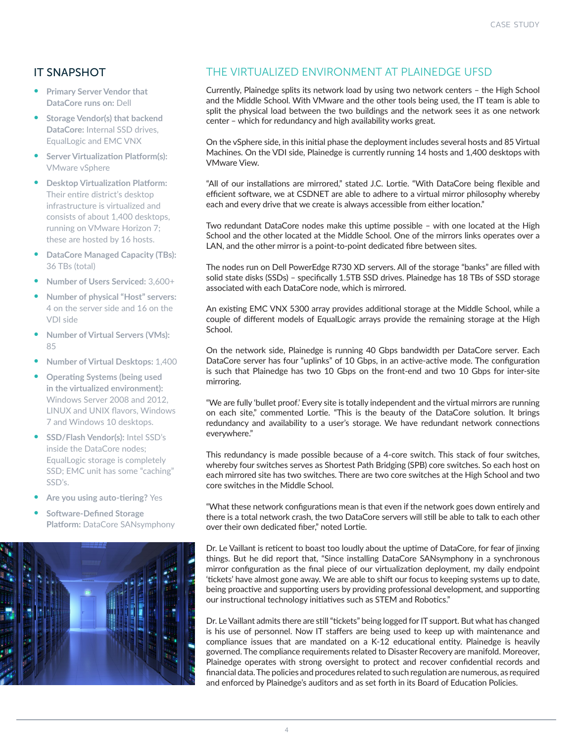## IT SNAPSHOT

- **• Primary Server Vendor that DataCore runs on:** Dell
- **• Storage Vendor(s) that backend DataCore:** Internal SSD drives, EqualLogic and EMC VNX
- **• Server Virtualization Platform(s):**  VMware vSphere
- **• Desktop Virtualization Platform:**  Their entire district's desktop infrastructure is virtualized and consists of about 1,400 desktops, running on VMware Horizon 7; these are hosted by 16 hosts.
- **• DataCore Managed Capacity (TBs):**  36 TBs (total)
- **• Number of Users Serviced:** 3,600+
- **• Number of physical "Host" servers:**  4 on the server side and 16 on the VDI side
- **• Number of Virtual Servers (VMs):** 85
- **• Number of Virtual Desktops:** 1,400
- **• Operating Systems (being used in the virtualized environment):**  Windows Server 2008 and 2012, LINUX and UNIX flavors, Windows 7 and Windows 10 desktops.
- **• SSD/Flash Vendor(s):** Intel SSD's inside the DataCore nodes; EqualLogic storage is completely SSD; EMC unit has some "caching" SSD's.
- **• Are you using auto-tiering?** Yes
- **• Software-Defined Storage Platform:** DataCore SANsymphony



## THE VIRTUALIZED ENVIRONMENT AT PLAINEDGE UFSD

Currently, Plainedge splits its network load by using two network centers – the High School and the Middle School. With VMware and the other tools being used, the IT team is able to split the physical load between the two buildings and the network sees it as one network center – which for redundancy and high availability works great.

On the vSphere side, in this initial phase the deployment includes several hosts and 85 Virtual Machines. On the VDI side, Plainedge is currently running 14 hosts and 1,400 desktops with VMware View.

"All of our installations are mirrored," stated J.C. Lortie. "With DataCore being flexible and efficient software, we at CSDNET are able to adhere to a virtual mirror philosophy whereby each and every drive that we create is always accessible from either location."

Two redundant DataCore nodes make this uptime possible – with one located at the High School and the other located at the Middle School. One of the mirrors links operates over a LAN, and the other mirror is a point-to-point dedicated fibre between sites.

The nodes run on Dell PowerEdge R730 XD servers. All of the storage "banks" are filled with solid state disks (SSDs) – specifically 1.5TB SSD drives. Plainedge has 18 TBs of SSD storage associated with each DataCore node, which is mirrored.

An existing EMC VNX 5300 array provides additional storage at the Middle School, while a couple of different models of EqualLogic arrays provide the remaining storage at the High School.

On the network side, Plainedge is running 40 Gbps bandwidth per DataCore server. Each DataCore server has four "uplinks" of 10 Gbps, in an active-active mode. The configuration is such that Plainedge has two 10 Gbps on the front-end and two 10 Gbps for inter-site mirroring.

"We are fully 'bullet proof.' Every site is totally independent and the virtual mirrors are running on each site," commented Lortie. "This is the beauty of the DataCore solution. It brings redundancy and availability to a user's storage. We have redundant network connections everywhere."

This redundancy is made possible because of a 4-core switch. This stack of four switches, whereby four switches serves as Shortest Path Bridging (SPB) core switches. So each host on each mirrored site has two switches. There are two core switches at the High School and two core switches in the Middle School.

"What these network configurations mean is that even if the network goes down entirely and there is a total network crash, the two DataCore servers will still be able to talk to each other over their own dedicated fiber," noted Lortie.

Dr. Le Vaillant is reticent to boast too loudly about the uptime of DataCore, for fear of jinxing things. But he did report that, "Since installing DataCore SANsymphony in a synchronous mirror configuration as the final piece of our virtualization deployment, my daily endpoint 'tickets' have almost gone away. We are able to shift our focus to keeping systems up to date, being proactive and supporting users by providing professional development, and supporting our instructional technology initiatives such as STEM and Robotics."

Dr. Le Vaillant admits there are still "tickets" being logged for IT support. But what has changed is his use of personnel. Now IT staffers are being used to keep up with maintenance and compliance issues that are mandated on a K-12 educational entity. Plainedge is heavily governed. The compliance requirements related to Disaster Recovery are manifold. Moreover, Plainedge operates with strong oversight to protect and recover confidential records and financial data. The policies and procedures related to such regulation are numerous, as required and enforced by Plainedge's auditors and as set forth in its Board of Education Policies.